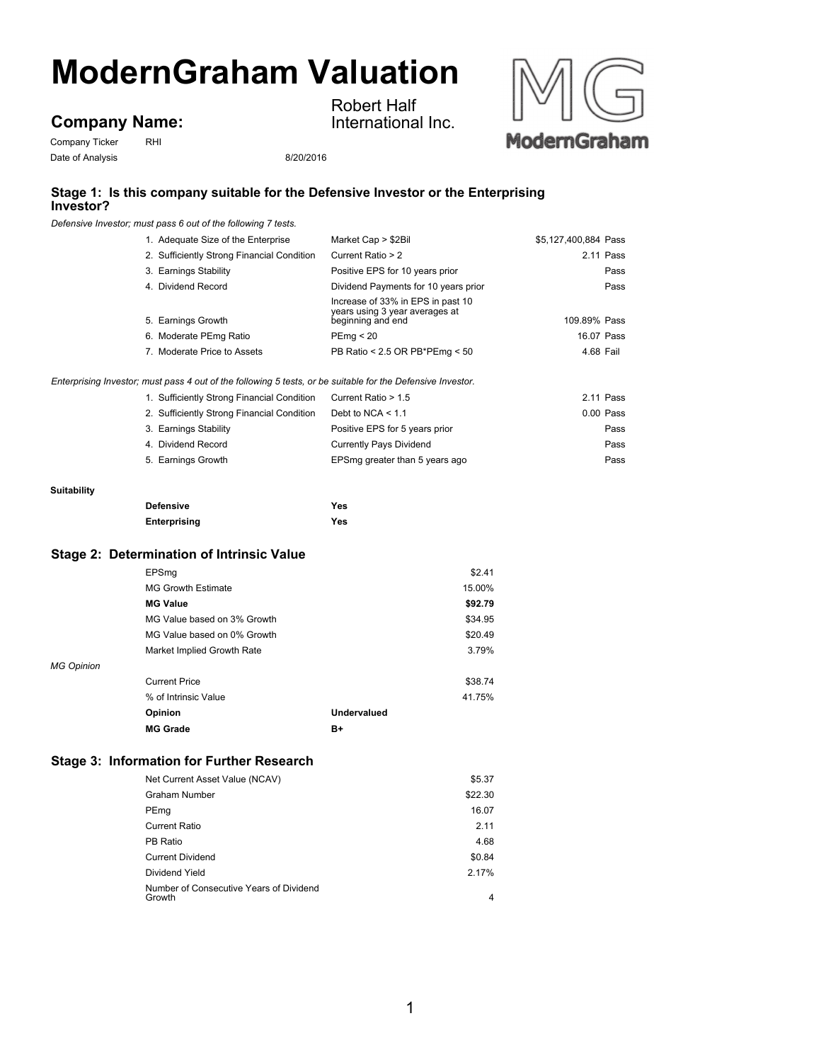# **ModernGraham Valuation**

## **Company Name:**

Company Ticker RHI Date of Analysis 8/20/2016

Robert Half International Inc.



### **Stage 1: Is this company suitable for the Defensive Investor or the Enterprising Investor?**

*Defensive Investor; must pass 6 out of the following 7 tests.*

| 1. Adequate Size of the Enterprise                                                                          | Market Cap > \$2Bil                                                                      | \$5.127.400.884 Pass |
|-------------------------------------------------------------------------------------------------------------|------------------------------------------------------------------------------------------|----------------------|
| 2. Sufficiently Strong Financial Condition                                                                  | Current Ratio > 2                                                                        | 2.11 Pass            |
| 3. Earnings Stability                                                                                       | Positive EPS for 10 years prior                                                          | Pass                 |
| 4. Dividend Record                                                                                          | Dividend Payments for 10 years prior                                                     | Pass                 |
| 5. Earnings Growth                                                                                          | Increase of 33% in EPS in past 10<br>years using 3 year averages at<br>beginning and end | 109.89% Pass         |
| 6. Moderate PEmg Ratio                                                                                      | PEma < 20                                                                                | 16.07 Pass           |
| 7. Moderate Price to Assets                                                                                 | PB Ratio < 2.5 OR PB*PEmg < 50                                                           | 4.68 Fail            |
| Enterprising Investor; must pass 4 out of the following 5 tests, or be suitable for the Defensive Investor. |                                                                                          |                      |
| 1. Cufficiantly Ctrone Financial Condition Current Datio < 1.5                                              |                                                                                          | $0.44$ Desa          |

| 1. Sufficiently Strong Financial Condition | Current Ratio > 1.5            | 2.11 Pass |
|--------------------------------------------|--------------------------------|-----------|
| 2. Sufficiently Strong Financial Condition | Debt to NCA $<$ 1.1            | 0.00 Pass |
| 3. Earnings Stability                      | Positive EPS for 5 years prior | Pass      |
| 4. Dividend Record                         | <b>Currently Pays Dividend</b> | Pass      |
| 5. Earnings Growth                         | EPSmg greater than 5 years ago | Pass      |

#### **Suitability**

| <b>Defensive</b> | Yes |
|------------------|-----|
| Enterprising     | Yes |

#### **Stage 2: Determination of Intrinsic Value**

|                   | EPSmq                       |             | \$2.41  |
|-------------------|-----------------------------|-------------|---------|
|                   | <b>MG Growth Estimate</b>   |             | 15.00%  |
|                   | <b>MG Value</b>             |             | \$92.79 |
|                   | MG Value based on 3% Growth |             | \$34.95 |
|                   | MG Value based on 0% Growth |             | \$20.49 |
|                   | Market Implied Growth Rate  |             | 3.79%   |
| <b>MG Opinion</b> |                             |             |         |
|                   | <b>Current Price</b>        |             | \$38.74 |
|                   | % of Intrinsic Value        |             | 41.75%  |
|                   | Opinion                     | Undervalued |         |
|                   | <b>MG Grade</b>             | B+          |         |

#### **Stage 3: Information for Further Research**

| Net Current Asset Value (NCAV)                    | \$5.37  |
|---------------------------------------------------|---------|
| <b>Graham Number</b>                              | \$22.30 |
| PEmg                                              | 16.07   |
| <b>Current Ratio</b>                              | 2.11    |
| PB Ratio                                          | 4.68    |
| <b>Current Dividend</b>                           | \$0.84  |
| Dividend Yield                                    | 2.17%   |
| Number of Consecutive Years of Dividend<br>Growth | 4       |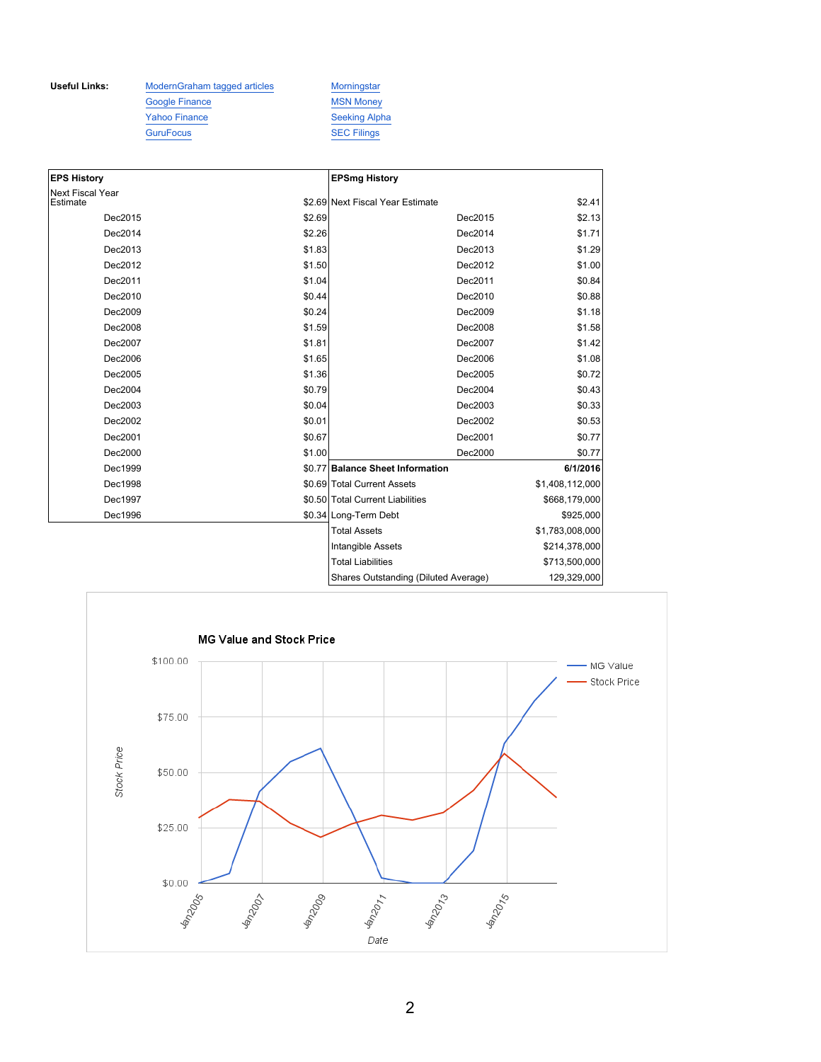Useful Links: ModernGraham tagged articles Morningstar Google Finance MSN Money Yahoo Finance Seeking Alpha GuruFocus SEC Filings

| <b>EPS History</b>                  |        | <b>EPSmg History</b>             |                 |
|-------------------------------------|--------|----------------------------------|-----------------|
| <b>Next Fiscal Year</b><br>Estimate |        | \$2.69 Next Fiscal Year Estimate | \$2.41          |
|                                     |        |                                  |                 |
| Dec2015                             | \$2.69 | Dec2015                          | \$2.13          |
| Dec2014                             | \$2.26 | Dec2014                          | \$1.71          |
| Dec2013                             | \$1.83 | Dec2013                          | \$1.29          |
| Dec2012                             | \$1.50 | Dec2012                          | \$1.00          |
| Dec2011                             | \$1.04 | Dec2011                          | \$0.84          |
| Dec2010                             | \$0.44 | Dec2010                          | \$0.88          |
| Dec2009                             | \$0.24 | Dec2009                          | \$1.18          |
| Dec2008                             | \$1.59 | Dec2008                          | \$1.58          |
| Dec2007                             | \$1.81 | Dec2007                          | \$1.42          |
| Dec2006                             | \$1.65 | Dec2006                          | \$1.08          |
| Dec2005                             | \$1.36 | Dec2005                          | \$0.72          |
| Dec2004                             | \$0.79 | Dec2004                          | \$0.43          |
| Dec2003                             | \$0.04 | Dec2003                          | \$0.33          |
| Dec2002                             | \$0.01 | Dec2002                          | \$0.53          |
| Dec2001                             | \$0.67 | Dec2001                          | \$0.77          |
| Dec2000                             | \$1.00 | Dec2000                          | \$0.77          |
| Dec1999                             |        | \$0.77 Balance Sheet Information | 6/1/2016        |
| Dec1998                             |        | \$0.69 Total Current Assets      | \$1,408,112,000 |
| Dec1997                             |        | \$0.50 Total Current Liabilities | \$668,179,000   |
| Dec1996                             |        | \$0.34 Long-Term Debt            | \$925,000       |
|                                     |        | <b>Total Assets</b>              | \$1,783,008,000 |
|                                     |        | <b>Intangible Assets</b>         | \$214,378,000   |
|                                     |        | <b>Total Liabilities</b>         | \$713,500,000   |